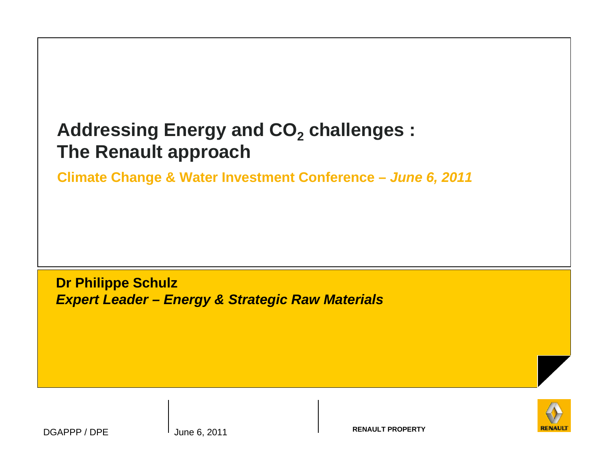## **Addressing Energy and CO2 challenges : The Renault approach**

**Climate Change & Water Investment Conference – June 6, 2011**

**Dr Philippe SchulzExpert Leader – Energy & Strategic Raw Materials**



DGAPPP / DPE

**RENAULT PROPERTY** June 6, 2011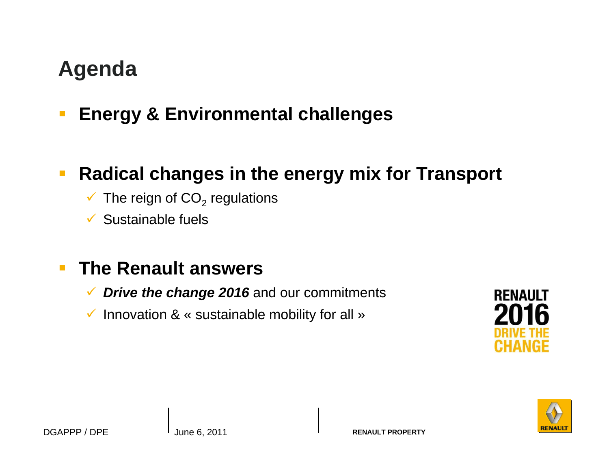# **Agenda**

 $\overline{\phantom{a}}$ **Energy & Environmental challenges**

#### $\mathbb{R}^2$ **Radical changes in the energy mix for Transport**

- $\checkmark$  The reign of CO<sub>2</sub> regulations
- Sustainable fuels

#### $\overline{\phantom{a}}$ **The Renault answers**

- ✔ Drive the change 2016 and our commitments
- $\checkmark$  Innovation & « sustainable mobility for all »



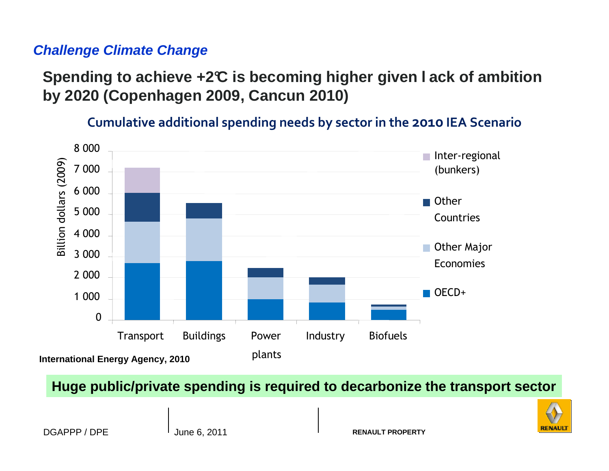#### **Challenge Climate Change**

## **Spending to achieve +2°C is becoming higher given l ack of ambition by 2020 (Copenhagen 2009, Cancun 2010)**

Cumulative additional spending needs by sector in the 2010 IEA Scenario



#### **Huge public/private spending is required to decarbonize the transport sector**

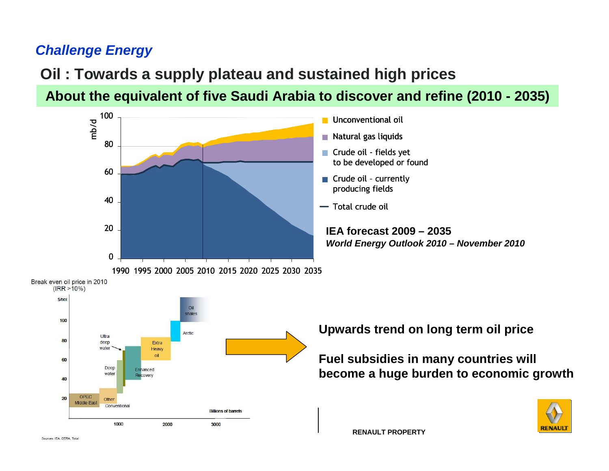## **Challenge Energy**

## **Oil : Towards a supply plateau and sustained high prices**

**About the equivalent of five Saudi Arabia to discover and refine (2010 - 2035)**





**Upwards trend on long term oil price**

**Fuel subsidies in many countries will become a huge burden to economic growth**



**RENAULT PROPERTY**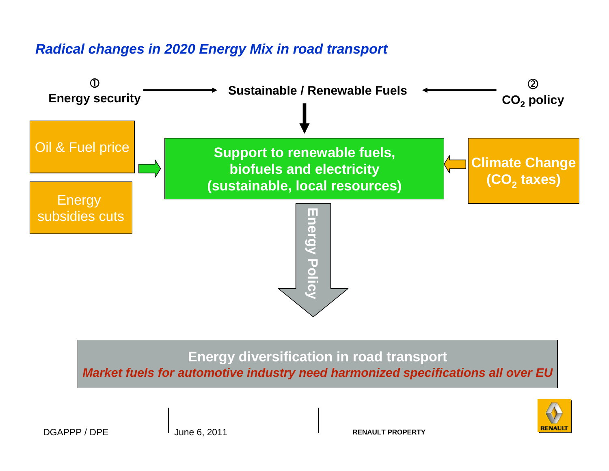#### **Radical changes in 2020 Energy Mix in road transport**



# **Energy diversification in road transport**

**Market fuels for automotive industry need harmonized specifications all over EU**

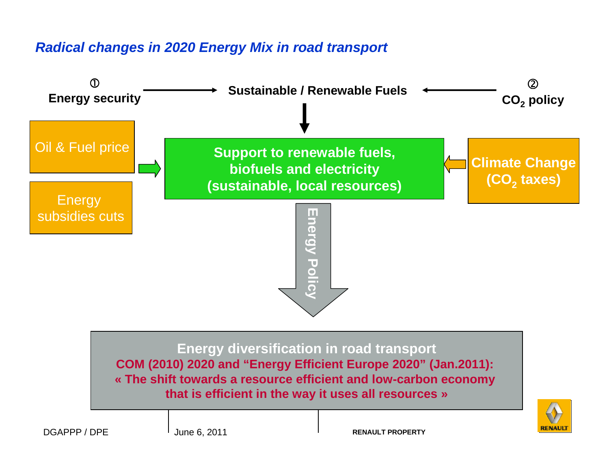#### **Radical changes in 2020 Energy Mix in road transport**

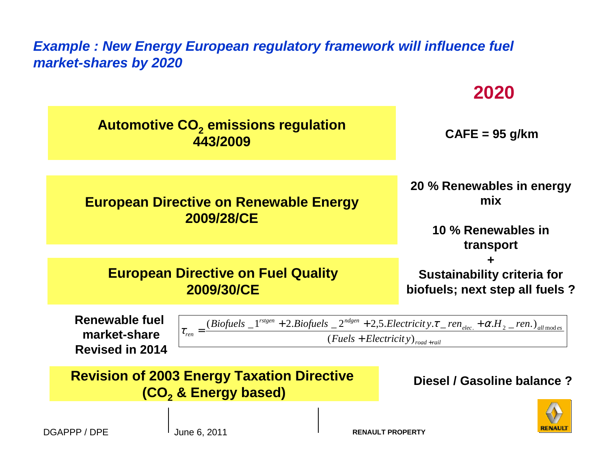#### **Example : New Energy European regulatory framework will influence fuel market-shares by 2020**

|                                                                                                                                                                                                                                                                                            | ZUZU                                                                       |  |
|--------------------------------------------------------------------------------------------------------------------------------------------------------------------------------------------------------------------------------------------------------------------------------------------|----------------------------------------------------------------------------|--|
| <b>Automotive CO<sub>2</sub></b> emissions regulation<br>443/2009                                                                                                                                                                                                                          | $CAFE = 95$ g/km                                                           |  |
|                                                                                                                                                                                                                                                                                            |                                                                            |  |
| <b>European Directive on Renewable Energy</b><br>2009/28/CE                                                                                                                                                                                                                                | 20 % Renewables in energy<br>mix<br>10 % Renewables in                     |  |
|                                                                                                                                                                                                                                                                                            | transport                                                                  |  |
|                                                                                                                                                                                                                                                                                            |                                                                            |  |
| <b>European Directive on Fuel Quality</b><br>2009/30/CE                                                                                                                                                                                                                                    | ╈<br><b>Sustainability criteria for</b><br>biofuels; next step all fuels ? |  |
| Renewable fuel<br>$\tau_{ren} = \frac{(Biofuels\_1^{rsteen} + 2.Biofuels\_2^{ndgen} + 2,5.Electricity.\tau\_ren_{elec.} + \alpha.H_{2\_ren.)_{all~modes}}}{\pi_{ren} + \alpha.H_{2\_ren.)_{all~modes}}$<br>market-share<br>$(Fuels + Electricity)_{road + rail}$<br><b>Revised in 2014</b> |                                                                            |  |
| <b>Revision of 2003 Energy Taxation Directive</b><br>(CO <sub>2</sub> & Energy based)                                                                                                                                                                                                      | Diesel / Gasoline balance ?                                                |  |



**2020**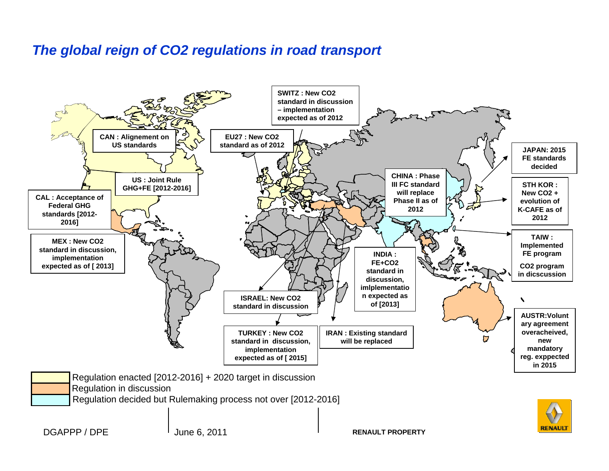#### **The global reign of CO2 regulations in road transport**

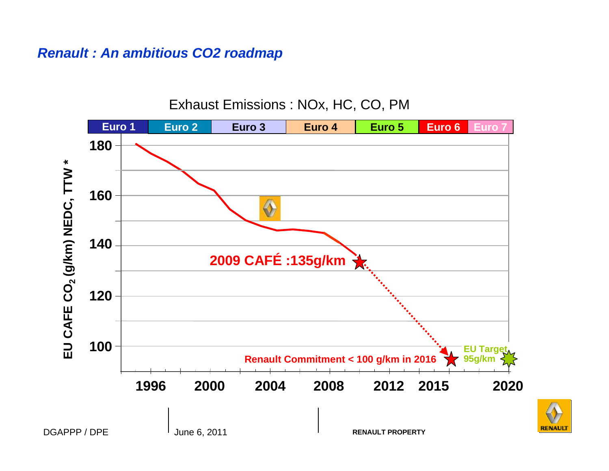#### **Renault : An ambitious CO2 roadmap**

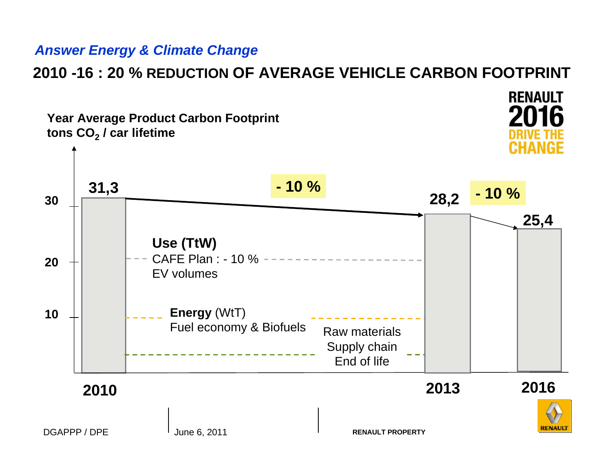#### **Answer Energy & Climate Change**

# **2010 -16 : 20 % REDUCTION OF AVERAGE VEHICLE CARBON FOOTPRINT**

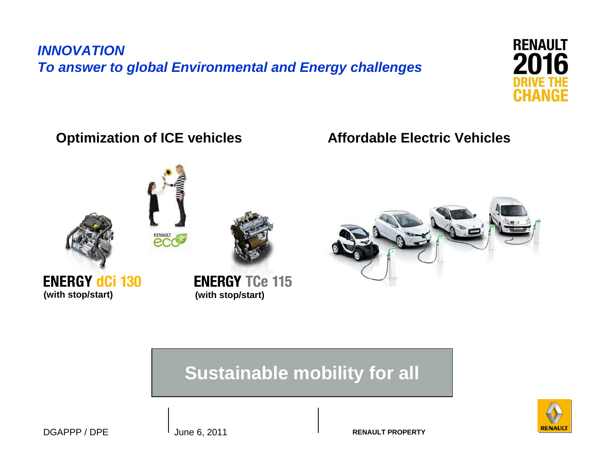## **INNOVATIONTo answer to global Environmental and Energy challenges**



#### **Optimization of ICE vehicles Affordable Electric Vehicles**





## **Sustainable mobility for all**



DGAPPP / DPE June 6, 2011

**RENAULT PROPERTY**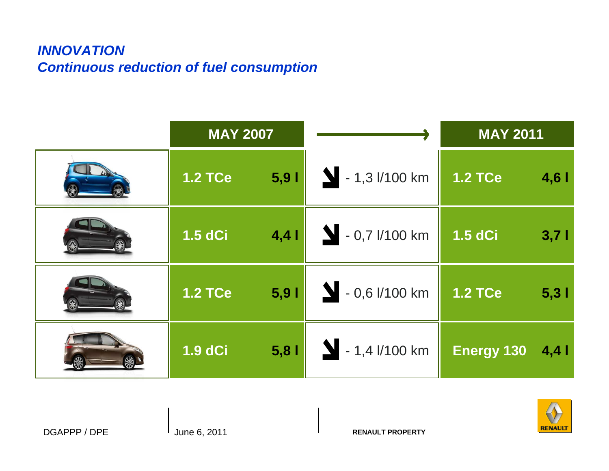#### **INNOVATIONContinuous reduction of fuel consumption**

| <b>MAY 2007</b> |      |                       | <b>MAY 2011</b> |       |
|-----------------|------|-----------------------|-----------------|-------|
| <b>1.2 TCe</b>  | 5,91 | $\sum$ - 1,3 l/100 km | <b>1.2 TCe</b>  | 4,61  |
| <b>1.5 dCi</b>  | 4,4  | $\sum$ - 0,7 l/100 km | <b>1.5 dCi</b>  | 3,71  |
| <b>1.2 TCe</b>  | 5,91 | $\sum$ - 0,6 l/100 km | <b>1.2 TCe</b>  | 5,31  |
| <b>1.9 dCi</b>  | 5,81 | $\sum$ - 1,4 l/100 km | Energy 130      | $4,4$ |

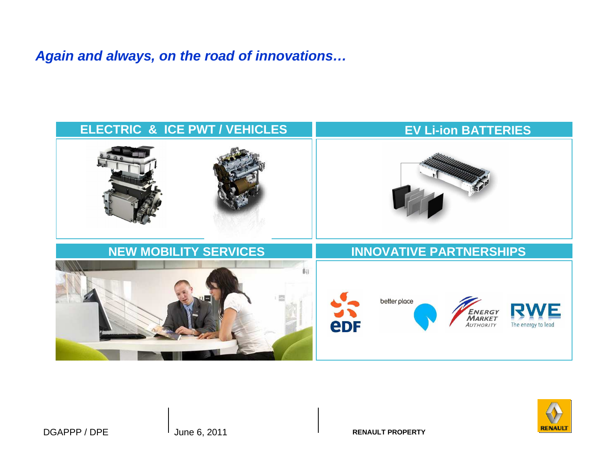#### **Again and always, on the road of innovations…**





**RENAULT PROPERTY**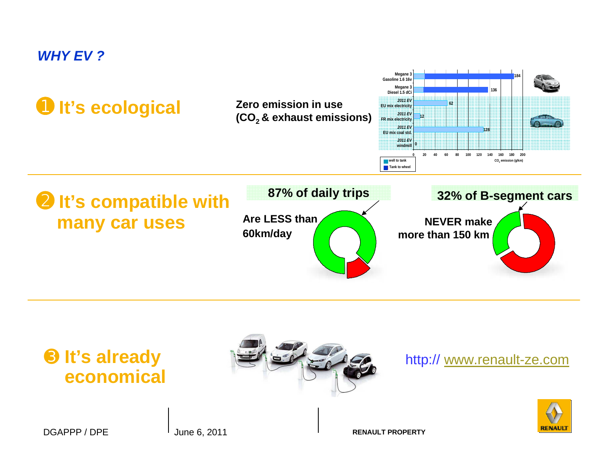#### **WHY EV ?**



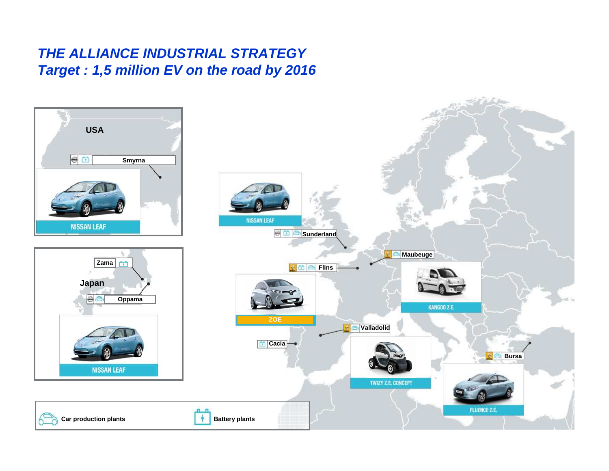#### **THE ALLIANCE INDUSTRIAL STRATEGYTarget : 1,5 million EV on the road by 2016**

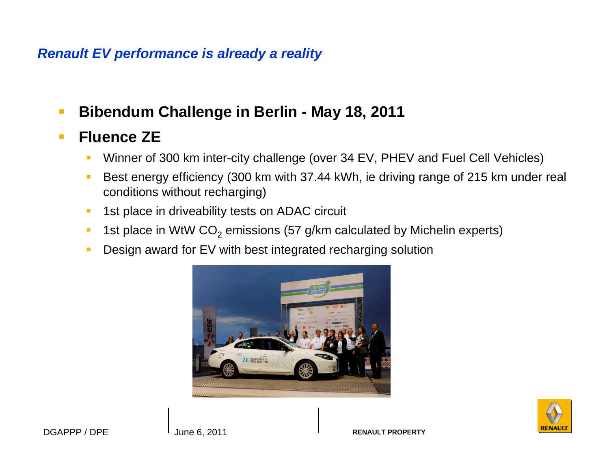#### **Renault EV performance is already a reality**

 $\overline{\phantom{a}}$ **Bibendum Challenge in Berlin - May 18, 2011**

#### $\mathbb{R}^3$ **Fluence ZE**

- Winner of 300 km inter-city challenge (over 34 EV, PHEV and Fuel Cell Vehicles)  $\mathcal{L}_{\mathcal{A}}$
- $\mathcal{L}_{\mathcal{A}}$  Best energy efficiency (300 km with 37.44 kWh, ie driving range of 215 km under real conditions without recharging)
- $\mathcal{C}^{\mathcal{A}}$ 1st place in driveability tests on ADAC circuit
- $\mathbb{R}^n$ **1st place in WtW CO**<sub>2</sub> emissions (57 g/km calculated by Michelin experts)
- $\mathcal{L}_{\mathcal{A}}$ Design award for EV with best integrated recharging solution